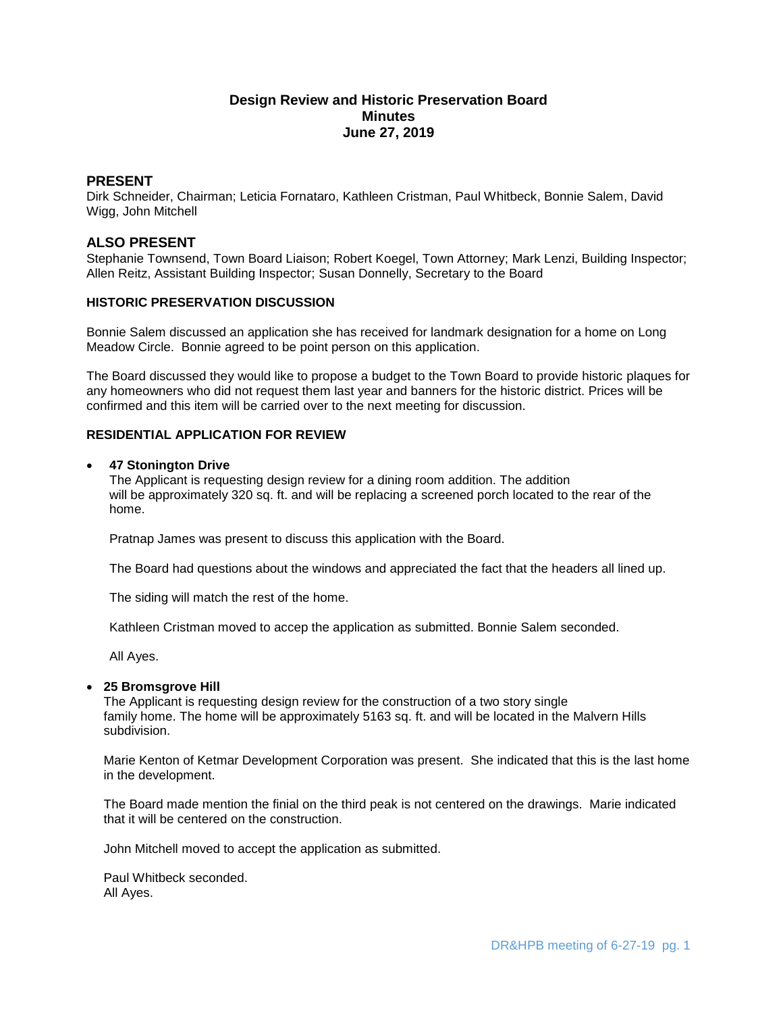# **Design Review and Historic Preservation Board Minutes June 27, 2019**

## **PRESENT**

Dirk Schneider, Chairman; Leticia Fornataro, Kathleen Cristman, Paul Whitbeck, Bonnie Salem, David Wigg, John Mitchell

## **ALSO PRESENT**

Stephanie Townsend, Town Board Liaison; Robert Koegel, Town Attorney; Mark Lenzi, Building Inspector; Allen Reitz, Assistant Building Inspector; Susan Donnelly, Secretary to the Board

## **HISTORIC PRESERVATION DISCUSSION**

Bonnie Salem discussed an application she has received for landmark designation for a home on Long Meadow Circle. Bonnie agreed to be point person on this application.

The Board discussed they would like to propose a budget to the Town Board to provide historic plaques for any homeowners who did not request them last year and banners for the historic district. Prices will be confirmed and this item will be carried over to the next meeting for discussion.

## **RESIDENTIAL APPLICATION FOR REVIEW**

#### **47 Stonington Drive**

The Applicant is requesting design review for a dining room addition. The addition will be approximately 320 sq. ft. and will be replacing a screened porch located to the rear of the home.

Pratnap James was present to discuss this application with the Board.

The Board had questions about the windows and appreciated the fact that the headers all lined up.

The siding will match the rest of the home.

Kathleen Cristman moved to accep the application as submitted. Bonnie Salem seconded.

All Ayes.

## **25 Bromsgrove Hill**

The Applicant is requesting design review for the construction of a two story single family home. The home will be approximately 5163 sq. ft. and will be located in the Malvern Hills subdivision.

Marie Kenton of Ketmar Development Corporation was present. She indicated that this is the last home in the development.

The Board made mention the finial on the third peak is not centered on the drawings. Marie indicated that it will be centered on the construction.

John Mitchell moved to accept the application as submitted.

Paul Whitbeck seconded. All Ayes.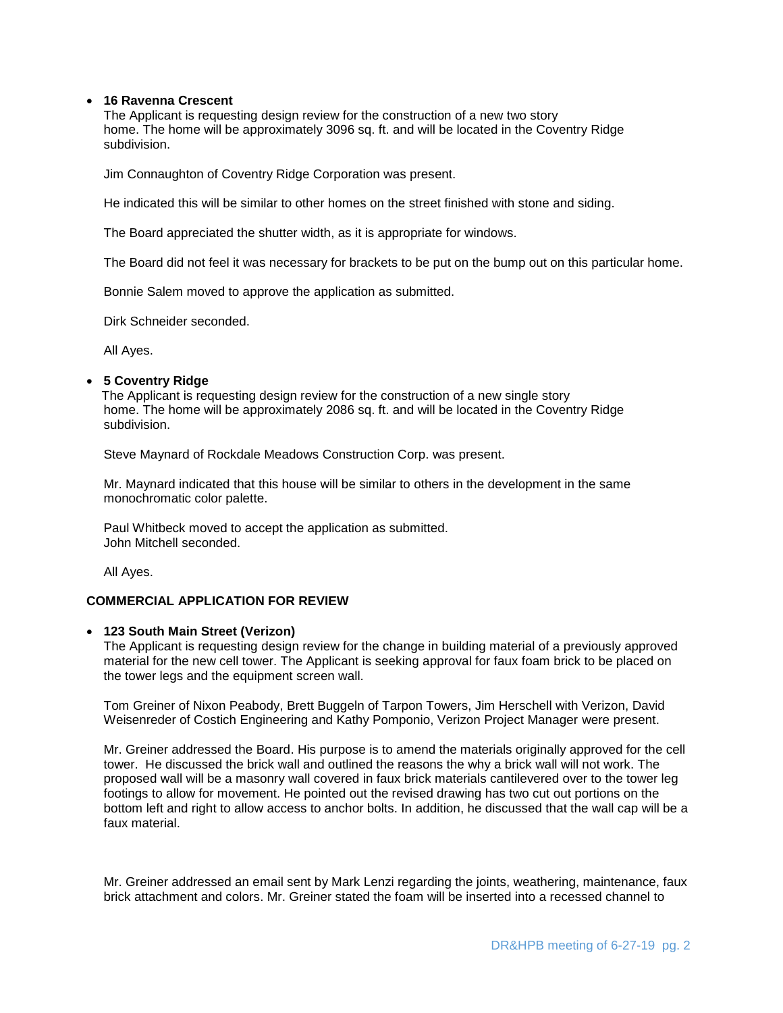#### **16 Ravenna Crescent**

The Applicant is requesting design review for the construction of a new two story home. The home will be approximately 3096 sq. ft. and will be located in the Coventry Ridge subdivision.

Jim Connaughton of Coventry Ridge Corporation was present.

He indicated this will be similar to other homes on the street finished with stone and siding.

The Board appreciated the shutter width, as it is appropriate for windows.

The Board did not feel it was necessary for brackets to be put on the bump out on this particular home.

Bonnie Salem moved to approve the application as submitted.

Dirk Schneider seconded.

All Ayes.

## **5 Coventry Ridge**

The Applicant is requesting design review for the construction of a new single story home. The home will be approximately 2086 sq. ft. and will be located in the Coventry Ridge subdivision.

Steve Maynard of Rockdale Meadows Construction Corp. was present.

Mr. Maynard indicated that this house will be similar to others in the development in the same monochromatic color palette.

Paul Whitbeck moved to accept the application as submitted. John Mitchell seconded.

All Ayes.

## **COMMERCIAL APPLICATION FOR REVIEW**

## **123 South Main Street (Verizon)**

The Applicant is requesting design review for the change in building material of a previously approved material for the new cell tower. The Applicant is seeking approval for faux foam brick to be placed on the tower legs and the equipment screen wall.

Tom Greiner of Nixon Peabody, Brett Buggeln of Tarpon Towers, Jim Herschell with Verizon, David Weisenreder of Costich Engineering and Kathy Pomponio, Verizon Project Manager were present.

Mr. Greiner addressed the Board. His purpose is to amend the materials originally approved for the cell tower. He discussed the brick wall and outlined the reasons the why a brick wall will not work. The proposed wall will be a masonry wall covered in faux brick materials cantilevered over to the tower leg footings to allow for movement. He pointed out the revised drawing has two cut out portions on the bottom left and right to allow access to anchor bolts. In addition, he discussed that the wall cap will be a faux material.

Mr. Greiner addressed an email sent by Mark Lenzi regarding the joints, weathering, maintenance, faux brick attachment and colors. Mr. Greiner stated the foam will be inserted into a recessed channel to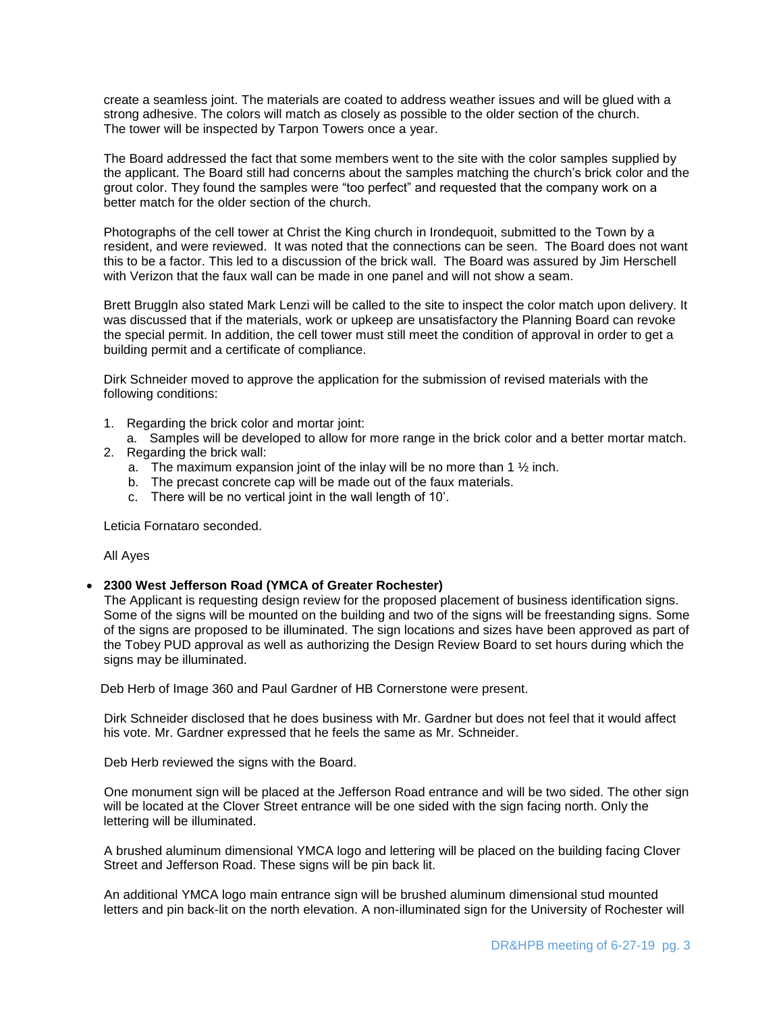create a seamless joint. The materials are coated to address weather issues and will be glued with a strong adhesive. The colors will match as closely as possible to the older section of the church. The tower will be inspected by Tarpon Towers once a year.

The Board addressed the fact that some members went to the site with the color samples supplied by the applicant. The Board still had concerns about the samples matching the church's brick color and the grout color. They found the samples were "too perfect" and requested that the company work on a better match for the older section of the church.

Photographs of the cell tower at Christ the King church in Irondequoit, submitted to the Town by a resident, and were reviewed. It was noted that the connections can be seen. The Board does not want this to be a factor. This led to a discussion of the brick wall. The Board was assured by Jim Herschell with Verizon that the faux wall can be made in one panel and will not show a seam.

Brett Bruggln also stated Mark Lenzi will be called to the site to inspect the color match upon delivery. It was discussed that if the materials, work or upkeep are unsatisfactory the Planning Board can revoke the special permit. In addition, the cell tower must still meet the condition of approval in order to get a building permit and a certificate of compliance.

Dirk Schneider moved to approve the application for the submission of revised materials with the following conditions:

- 1. Regarding the brick color and mortar joint:
- a. Samples will be developed to allow for more range in the brick color and a better mortar match.
- 2. Regarding the brick wall:
	- a. The maximum expansion joint of the inlay will be no more than 1 ½ inch.
	- b. The precast concrete cap will be made out of the faux materials.
	- c. There will be no vertical joint in the wall length of 10'.

Leticia Fornataro seconded.

All Ayes

## **2300 West Jefferson Road (YMCA of Greater Rochester)**

 The Applicant is requesting design review for the proposed placement of business identification signs. Some of the signs will be mounted on the building and two of the signs will be freestanding signs. Some of the signs are proposed to be illuminated. The sign locations and sizes have been approved as part of the Tobey PUD approval as well as authorizing the Design Review Board to set hours during which the signs may be illuminated.

Deb Herb of Image 360 and Paul Gardner of HB Cornerstone were present.

 Dirk Schneider disclosed that he does business with Mr. Gardner but does not feel that it would affect his vote. Mr. Gardner expressed that he feels the same as Mr. Schneider.

Deb Herb reviewed the signs with the Board.

 One monument sign will be placed at the Jefferson Road entrance and will be two sided. The other sign will be located at the Clover Street entrance will be one sided with the sign facing north. Only the lettering will be illuminated.

 A brushed aluminum dimensional YMCA logo and lettering will be placed on the building facing Clover Street and Jefferson Road. These signs will be pin back lit.

 An additional YMCA logo main entrance sign will be brushed aluminum dimensional stud mounted letters and pin back-lit on the north elevation. A non-illuminated sign for the University of Rochester will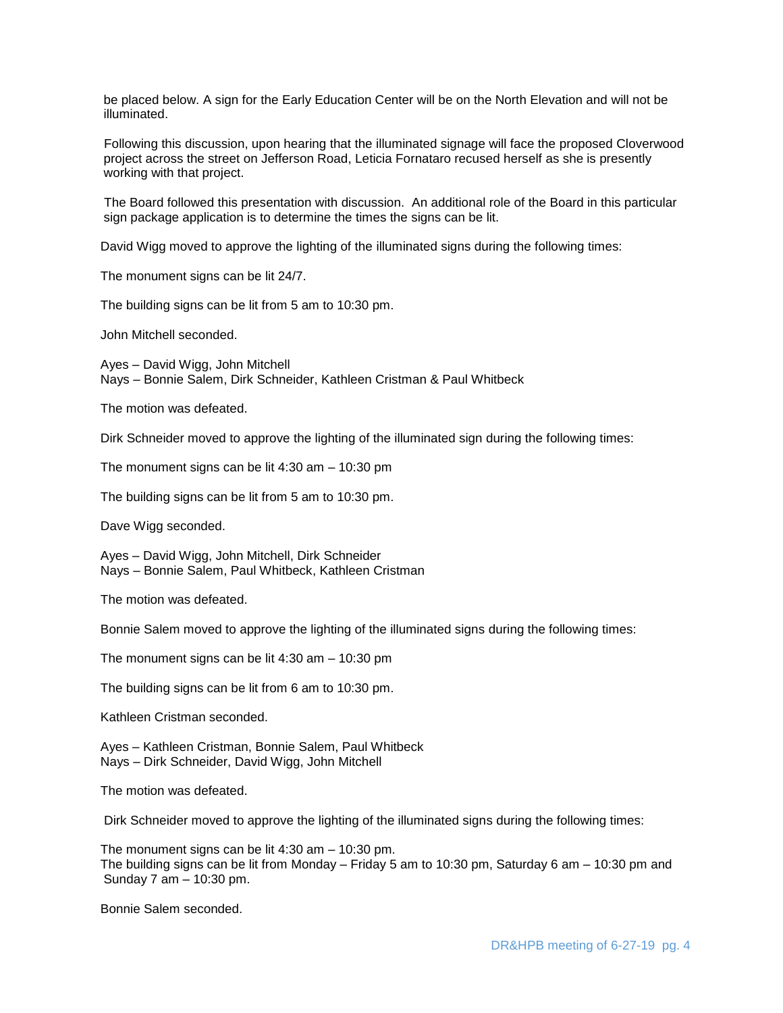be placed below. A sign for the Early Education Center will be on the North Elevation and will not be illuminated.

Following this discussion, upon hearing that the illuminated signage will face the proposed Cloverwood project across the street on Jefferson Road, Leticia Fornataro recused herself as she is presently working with that project.

 The Board followed this presentation with discussion. An additional role of the Board in this particular sign package application is to determine the times the signs can be lit.

David Wigg moved to approve the lighting of the illuminated signs during the following times:

The monument signs can be lit 24/7.

The building signs can be lit from 5 am to 10:30 pm.

John Mitchell seconded.

 Ayes – David Wigg, John Mitchell Nays – Bonnie Salem, Dirk Schneider, Kathleen Cristman & Paul Whitbeck

The motion was defeated.

Dirk Schneider moved to approve the lighting of the illuminated sign during the following times:

The monument signs can be lit 4:30 am – 10:30 pm

The building signs can be lit from 5 am to 10:30 pm.

Dave Wigg seconded.

 Ayes – David Wigg, John Mitchell, Dirk Schneider Nays – Bonnie Salem, Paul Whitbeck, Kathleen Cristman

The motion was defeated.

Bonnie Salem moved to approve the lighting of the illuminated signs during the following times:

The monument signs can be lit 4:30 am – 10:30 pm

The building signs can be lit from 6 am to 10:30 pm.

Kathleen Cristman seconded.

 Ayes – Kathleen Cristman, Bonnie Salem, Paul Whitbeck Nays – Dirk Schneider, David Wigg, John Mitchell

The motion was defeated.

Dirk Schneider moved to approve the lighting of the illuminated signs during the following times:

 The monument signs can be lit 4:30 am – 10:30 pm. The building signs can be lit from Monday – Friday 5 am to 10:30 pm, Saturday 6 am – 10:30 pm and Sunday 7 am – 10:30 pm.

Bonnie Salem seconded.